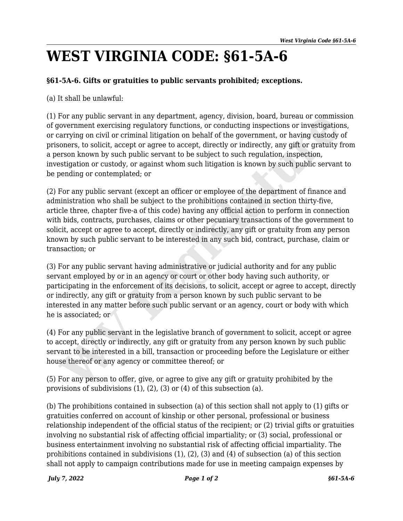## **WEST VIRGINIA CODE: §61-5A-6**

## **§61-5A-6. Gifts or gratuities to public servants prohibited; exceptions.**

(a) It shall be unlawful:

(1) For any public servant in any department, agency, division, board, bureau or commission of government exercising regulatory functions, or conducting inspections or investigations, or carrying on civil or criminal litigation on behalf of the government, or having custody of prisoners, to solicit, accept or agree to accept, directly or indirectly, any gift or gratuity from a person known by such public servant to be subject to such regulation, inspection, investigation or custody, or against whom such litigation is known by such public servant to be pending or contemplated; or

(2) For any public servant (except an officer or employee of the department of finance and administration who shall be subject to the prohibitions contained in section thirty-five, article three, chapter five-a of this code) having any official action to perform in connection with bids, contracts, purchases, claims or other pecuniary transactions of the government to solicit, accept or agree to accept, directly or indirectly, any gift or gratuity from any person known by such public servant to be interested in any such bid, contract, purchase, claim or transaction; or For any public servant in any espartment, agency, duxsion, board, bureau or commust<br>provemment exercising regulatory functions, or conducting inspections or investigation<br>carrying on civil or criminal litigation on behalf

(3) For any public servant having administrative or judicial authority and for any public servant employed by or in an agency or court or other body having such authority, or participating in the enforcement of its decisions, to solicit, accept or agree to accept, directly or indirectly, any gift or gratuity from a person known by such public servant to be interested in any matter before such public servant or an agency, court or body with which he is associated; or

(4) For any public servant in the legislative branch of government to solicit, accept or agree to accept, directly or indirectly, any gift or gratuity from any person known by such public servant to be interested in a bill, transaction or proceeding before the Legislature or either house thereof or any agency or committee thereof; or

(5) For any person to offer, give, or agree to give any gift or gratuity prohibited by the provisions of subdivisions (1), (2), (3) or (4) of this subsection (a).

(b) The prohibitions contained in subsection (a) of this section shall not apply to (1) gifts or gratuities conferred on account of kinship or other personal, professional or business relationship independent of the official status of the recipient; or (2) trivial gifts or gratuities involving no substantial risk of affecting official impartiality; or (3) social, professional or business entertainment involving no substantial risk of affecting official impartiality. The prohibitions contained in subdivisions (1), (2), (3) and (4) of subsection (a) of this section shall not apply to campaign contributions made for use in meeting campaign expenses by